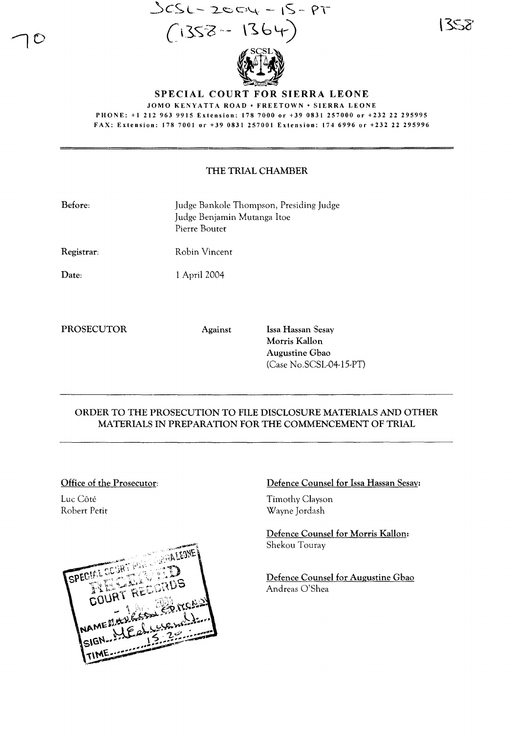$SCSL-2\epsilon\alpha q -15-PT$  $(1358 - 1364)$  $\mathscr{U}$ .  $\rightarrow$   $\rightarrow$   $\rightarrow$ SPECIAL COURT FOR SIERRA LEONE

JOMO KENYATTA ROAD • FREETOWN • SIERRA LEONE PHONE: +1212 963 9915 Exlension: 1787000 or +39 0831 257000 or +232 22 295995 FAX: EXlension: 1787001 or +390831257001 EXlension: 1746996 or +23222295996

## THE TRIAL CHAMBER

| Before:    | Judge Bankole Thompson, Presiding Judge<br>Judge Benjamin Mutanga Itoe<br>Pierre Boutet |
|------------|-----------------------------------------------------------------------------------------|
| Registrar: | Robin Vincent                                                                           |
| Date:      | 1 April 2004                                                                            |

PROSECUTOR Against Issa Hassan Sesay Morris Kallon Augustine Gbao (Case No.SCSL-04-15-PT)

## ORDER TO THE PROSECUTION TO FILE DISCLOSURE MATERIALS AND OTHER MATERIALS IN PREPARATION FOR THE COMMENCEMENT OF TRIAL

## Office of the Prosecutor:

Luc Côté Robert Petit



## Defence Counsel for Issa Hassan Sesay:

 $\{35\}$ 

Timothy Clayson Wayne Jordash

Defence Counsel for Morris Kallon: Shekou Touray

Defence Counsel for Augustine Gbao Andreas O'Shea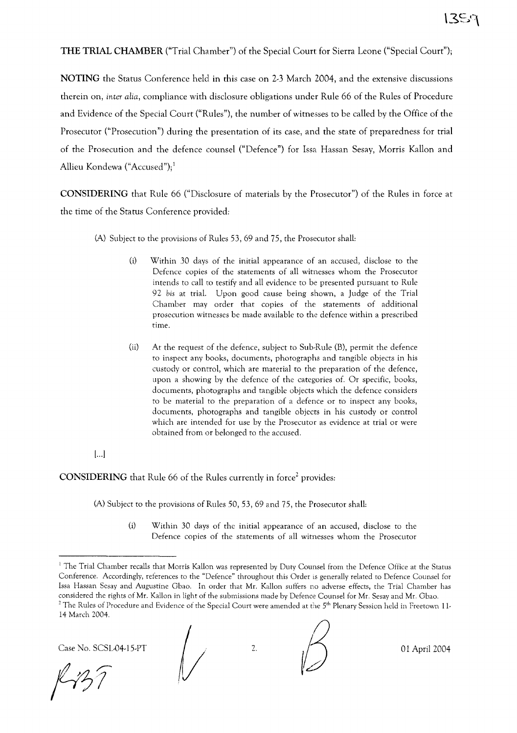**THE TRIAL CHAMBER** ("Trial Chamber") of the Special Court for Sierra Leone ("Special Court");

**NOTING** the Status Conference held in this case on 2-3 March 2004, and the extensive discussions therein on, *inter alia,* compliance with disclosure obligations under Rule 66 of the Rules of Procedure and Evidence of the Special Court ("Rules"), the number of witnesses to be called by the Office of the Prosecutor ("Prosecution") during the presentation of its case, and the state of preparedness for trial of the Prosecution and the defence counsel ("Defence") for lssa Hassan Sesay, Morris KaHan and Allieu Kondewa ("Accused");<sup>1</sup>

**CONSIDERING** that Rule 66 ("Disclosure of materials by the Prosecutor") of the Rules in force at the time of the Status Conference provided:

(A) Subject to the provisions of Rules 53, 69 and 75, the Prosecutor shall:

- (i) Within 30 days of the initial appearance of an accused, disclose to the Defence copies of the statements of all witnesses whom the Prosecutor intends to call to testify and all evidence to be presented pursuant to Rule *92 bis* at trial. Upon good cause being shown, a Judge of the Trial Chamber may order that copies of the statements of additional prosecution witnesses be made available to the defence within a prescribed time.
- (ii) At the request of the defence, subject to Sub-Rule (B), permit the defence to inspect any books, documents, photographs and tangible objects in his custody or control, which are material to the preparation of the defence, upon a showing by the defence of the categories of. Or specific, books, documents, photographs and tangible objects which the defence considers to be material to the preparation of a defence or to inspect any books, documents, photographs and tangible objects in his custody or control which are intended for use by the Prosecutor as evidence at trial or were obtained from or belonged to the accused.

[...]

**CONSIDERING** that Rule 66 of the Rules currently in force<sup>2</sup> provides:

(A) Subject to the provisions of Rules 50, 53, 69 and 75, the Prosecutor shall:

(i) Within 30 days of the initial appearance of an accused, disclose to the Defence copies of the statements of all witnesses whom the Prosecutor

Case No. SCSL04-15-PT v 2. (V 2. 01 April 2004

<sup>&</sup>lt;sup>1</sup> The Trial Chamber recalls that Morris Kallon was represented by Duty Counsel from the Defence Office at the Status Conference. Accordingly, references to the "Defence" throughout this Order is generally related to Defence Counsel for Issa Hassan Sesay and Augustine Gbao. In order that Mr. Kallon suffers no adverse effects, the Trial Chamber has considered the rights of Mr. Kallon in light of the submissions made by Defence Counsel for Mr. Sesay and Mr. Gbao.  $1$ <sup>2</sup> The Rules of Procedure and Evidence of the Special Court were amended at the 5<sup>th</sup> Plenary Session held in Freetown 11-14 March 2004.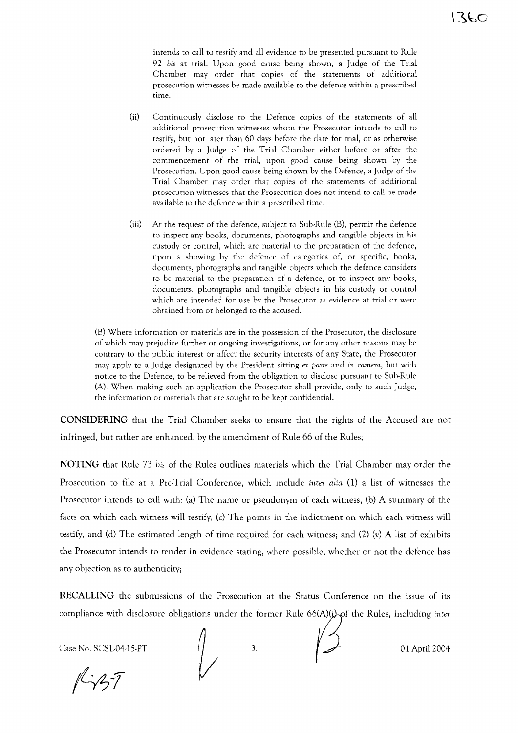intends to call to testify and all evidence to be presented pursuant to Rule 92 bis at trial. Upon good cause being shown, a Judge of the Trial Chamber may order that copies of the statements of additional prosecution witnesses be made available to the defence within a prescribed time.

- (ii) Continuously disclose to the Defence copies of the statements of all additional prosecution witnesses whom the Prosecutor intends to call to testify, but not later than 60 days before the clate for trial, or as otherwise ordered by a Judge of the Trial Chamber either before or after the commencement of the trial, upon good cause being shown by the Prosecution. Upon good cause being shown by the Defence, a Judge of the Trial Chamber may order that copies of the statements of additional prosecution witnesses that the Prosecution does not intend to call be made available to the defence within a prescribed time.
- (iii) At the request of the defence, subject to Sub-Rule (B), permit the defence to inspect any books, documents, photographs and tangible objects in his custody or control, which are material to the preparation of the defence, upon a showing by the defence of categories of, or specific, books, documents, photographs and tangible objects which the defence considers to be material to the preparation of a defence, or to inspect any books, documents, photographs and tangible objects in his custody or control which are intended for use by the Prosecutor as evidence at trial or were obtained from or belonged to the accused.

(B) Where information or materials are in the possession of the Prosecutor, the disclosure of which may prejudice further or ongoing investigations, or for any other reasons may be contrary to the public interest or affect the security interests of any State, the Prosecutor may apply to a Judge designated by the President sitting ex *t'arte* and in *camera,* but with notice to the Defence, to be relieved from the obligation to disclose pursuant to Sub-Rule (A). When making such an application the Prosecutor shall provide, only to such Judge, the information or materials that are sought to be kept confidential.

CONSIDERING that the Trial Chamber seeks to ensure that the rights of the Accused are not infringed, but rather are enhanced, by the amendment of Rule 66 of the Rules;

NOTING that Rule 73 *bis* of the Rules outlines materials which the Trial Chamber may order the Prosecution to file at a Pre-Trial Conference, which include inter *alia* (1) a list of witnesses the Prosecutor intends to call with: (a) The name or pseudonym of each witness, (b) A summary of the facts on which each witness will testify, (c) The points in the indictment on which each witness will testify, and (d) The estimated length of time required for each witness; and (2) (v) A list of exhibits the Prosecutor intends to tender in evidence stating, where possible, whether or not the defence has any objection as to authenticity;

RECALLING the submissions of the Prosecution at the Status Conference on the issue of its compliance with disclosure obligations under the former Rule  $66(A)(i)$ -of the Rules, including *inter* 

Case No. SCSL04-15-PT  $\begin{array}{ccc} \hline \end{array}$  3. 01 April 2004

 $1477$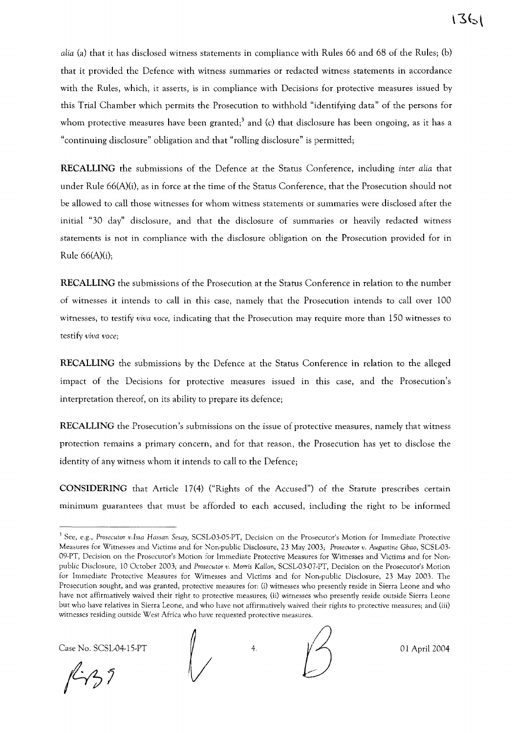*alia* (a) that it has disclosed witness statements in compliance with Rules 66 and 68 of the Rules; (b) that it provided the Defence with witness summaries or redacted witness statements in accordance with the Rules, which, it asserts, is in compliance with Decisions for protective measures issued by this Trial Chamber which permits the Prosecution to withhold "identifying data" of the persons for whom protective measures have been granted;<sup>3</sup> and (c) that disclosure has been ongoing, as it has a "continuing disclosure" obligation and that "rolling disclosure" is permitted;

**RECALLING** the submissions of the Defence at the Status Conference, including *inter alia* that under Rule 66(A)(i), as in force at the time of the Status Conference, that the Prosecution should not be allowed to call those witnesses for whom witness statements or summaries were disclosed after the initial "30 day" disclosure, and that the disclosure of summaries or heavily redacted witness statements is not in compliance with the disclosure obligation on the Prosecution provided for in Rule 66(A)(i);

**RECALLING** the submissions of the Prosecution at the Status Conference in relation to the number of witnesses it intends to call in this case, namely that the Prosecution intends to call over 100 witnesses, to testify *viva voce,* indicating that the Prosecution may require more than 150 witnesses to testify *viva voce;*

**RECALLING** the submissions by the Defence at the Status Conference in relation to the alleged impact of the Decisions for protective measures issued in this case, and the Prosecution's interpretation thereof, on its ability to prepare its defence;

**RECALLING** the Prosecution's submissions on the issue of protective measures, namely that witness protection remains a primary concern, and for that reason, the Prosecution has yet to disclose the identity of any witness whom it intends to call to the Defence;

**CONSIDERING** that Article 17(4) ("Rights of the Accused") of the Statute prescribes certain minimum guarantees that must be afforded to each accused, including the right to be informed

Case No. SCSL-04-15-PT  $\begin{array}{ccc} \parallel & 4 & \parallel \end{array}$  4. 01 April 2004

<sup>J</sup> See, e.g., *Prosecutor v.Issa Hassan Sesay,* SCSL.Q3-05-PT, Decision on the Prosecutor's Motion for Immediate Protective Measures for \1(1itnesses and Victims and for Non-public Disclosure, 23 May 2003; *Prosecutor v. Augustine Gbao,* SCSL-03- 09-PT, Decision on the Prosecutor's Motion for Immediate Protective Measures for Witnesses and Victims and for Nonpublic Disclosure, 10 October 2003; and *Prosecutor v. Morris Ka!!on,* SCSL-03-07-PT, Decision on the Prosecutor's Motion for Immediate Protective Measures for Witnesses and Victims and for Non-public Disclosure, 23 May 2003. The Prosecution sought, and was granted, protective measures for: (i) witnesses who presently reside in Sierra Leone and who have not affirmatively waived their right to protective measures; (ii) witnesses who presently reside outside Sierra Leone but who have relatives in Sierra Leone, and who have not affirmatively waived their rights to protective measures; and (iii) witnesses residing outside West Africa who have requested protective measures.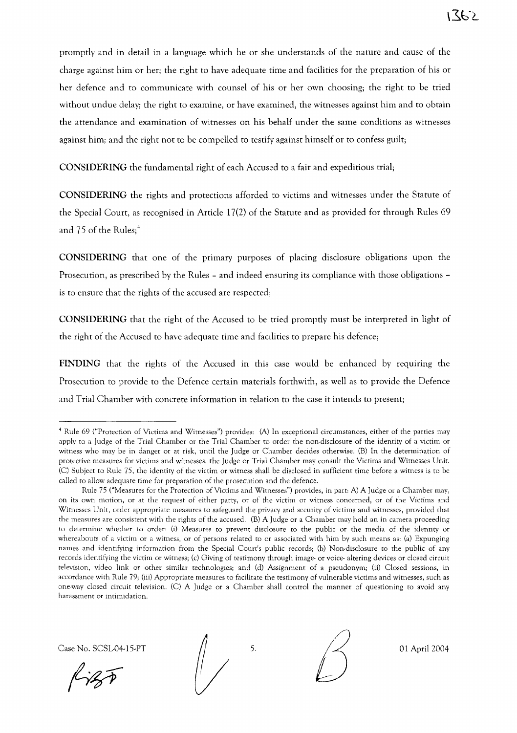promptly and in detail in a language which he or she understands of the nature and cause of the charge against him or her; the right to have adequate time and facilities for the preparation of his or her defence and to communicate with counsel of his or her own choosing; the right to be tried without undue delay; the right to examine, or have examined, the witnesses against him and to obtain the attendance and examination of witnesses on his behalf under the same conditions as witnesses against him; and the right not to be compelled to testify against himself or to confess guilt;

**CONSIDERING** the fundamental right of each Accused to a fair and expeditious trial;

**CONSIDERING** the rights and protections afforded to victims and witnesses under the Statute of the Special Court, as recognised in Article 17(2) of the Statute and as provided for through Rules 69 and 75 of the Rules; <sup>4</sup>

**CONSIDERING** that one of the primary purposes of placing disclosure obligations upon the Prosecution, as prescribed by the Rules - and indeed ensuring its compliance with those obligations is to ensure that the rights of the accused are respected;

**CONSIDERING** that the right of the Accused to be tried promptly must be interpreted in light of the right of the Accused to have adequate time and facilities to prepare his defence;

**FINDING** that the rights of the Accused in this case would be enhanced by requiring the Prosecution to provide to the Defence certain materials forthwith, as well as to provide the Defence and Trial Chamber with concrete information in relation to the case it intends to present;

Case No. SCSL-04-15-PT  $\begin{array}{ccc} \hline \end{array}$   $\begin{array}{ccc} \hline \end{array}$  5.  $\begin{array}{ccc} \hline \end{array}$  01 April 2004

<sup>4</sup> Rule 69 ("Protection of Victims and Witnesses") provides: (A) In exceptional circumstances, either of the parties may apply to a Judge of the Trial Chamber or the Trial Chamber to order the non-disclosure of the identity of a victim or witness who may be in danger or at risk, until the Judge or Chamber decides otherwise. (B) In the determination of protective measures for victims and witnesses, the Judge or Trial Chamber mav consult the Victims and Witnesses Unit. (C) Subject to Rule 75, the identity of the victim or witness shall be disclosed in sufficient time before a witness is to be called to allow adequate time for preparation of the prosecution and the defence.

Rule 75 ("Measures for the Protection of Victims and Witnesses") provides, in part: A) A Judge or a Chamber may, on its own motion, or at the request of either party, or of the victim or witness concerned, or of the Victims and Witnesses Unit, order appropriate measures to safeguard the privacy and security of victims and witnesses, provided that the measures are consistent with the rights of the accused. (B) A Judge or a Chamber may hold an in camera proceeding to determine whether to order: (i) Measures to prevent disclosure to the public or the media of the identity or whereabouts of a victim or a witness, or of persons related to or associated with him by such means as: (a) Expunging names and identifying information from the Special Court's public records; (b) Non-disclosure to the public of any records identifying the victim or witness; (c) Giving of testimony through image- or voice- altering devices or closed circuit television, video link or other similar technologies; and (d) Assignment of a pseudonym; (ii) Closed sessions, in accordance with Rule 79; (iii) Appropriate measures to facilitate the testimony of vulnerable victims and witnesses, such as one-way closed circuit television. (C) A Judge or a Chamber shall control the manner of questioning to avoid any harassment or intimidation.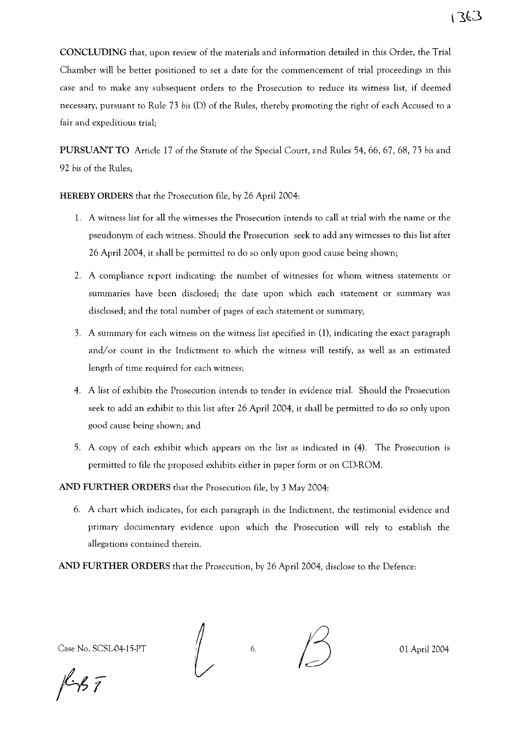CONCLUDING that, upon review of the materials and information detailed in this Order, the Trial Chamber will be better positioned to set a date for the commencement of trial proceedings in this case and to make any subsequent orders to the Prosecution to reduce its witness list, if deemed necessary, pursuant to Rule 73 *his* (D) of the Rules, thereby promoting the right of each Accused to a fair and expeditious trial;

PURSUANT TO Article 17 of the Statute of the Special Court, and Rules 54, 66, 67, 68, 73 *his* and *92 his* of the Rules;

HEREBY ORDERS that the Prosecution file, by 26 April 2004:

- 1. A witness list for all the witnesses the Prosecution intends to call at trial with the name or the pseudonym of each witness. Should the Prosecution seek to add any witnesses to this list after 26 April 2004, it shall be permitted to do so only upon good cause being shown;
- 2. A compliance report indicating: the number of witnesses for whom witness statements or summaries have been disclosed; the date upon which each statement or summary was disclosed; and the total number of pages of each statement or summary;
- 3. A summary for each witness on the witness list specified in 0), indicating the exact paragraph and/or count in the Indictment to which the witness will testify, as well as an estimated length of time required for each witness;
- 4. A list of exhibits the Prosecution intends to tender in evidence trial. Should the Prosecution seek to add an exhibit to this list after 26 April 2004, it shall be permitted to do so only upon good cause being shown; and
- 5. A copy of each exhibit which appears on the list as indicated in (4). The Prosecution is permitted to file the proposed exhibits either in paper form or on CD-ROM.

AND FURTHER ORDERS that the Prosecution file, by 3 May 2004:

6. A chart which indicates, for each paragraph in the Indictment, the testimonial evidence and primary documentary evidence upon which the Prosecution will rely to establish the allegations contained therein.

AND FURTHER ORDERS that the Prosecution, by 26 April 2004, disclose to the Defence:

 $1457$